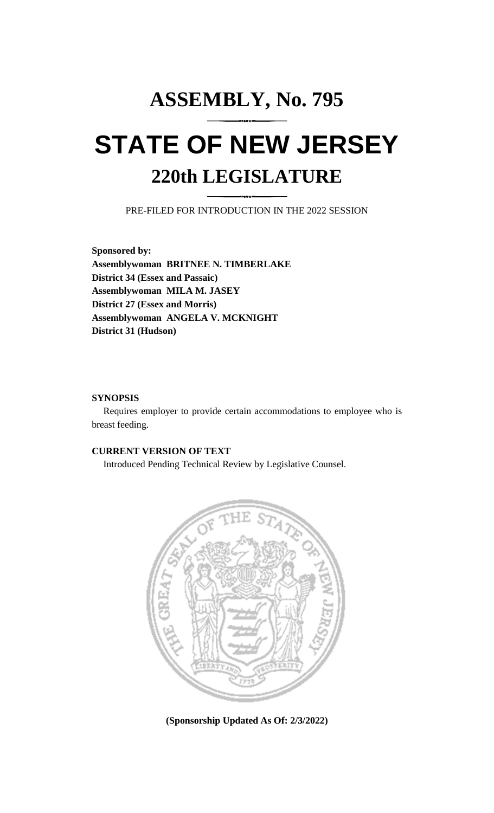# **ASSEMBLY, No. 795 STATE OF NEW JERSEY 220th LEGISLATURE**

PRE-FILED FOR INTRODUCTION IN THE 2022 SESSION

**Sponsored by: Assemblywoman BRITNEE N. TIMBERLAKE District 34 (Essex and Passaic) Assemblywoman MILA M. JASEY District 27 (Essex and Morris) Assemblywoman ANGELA V. MCKNIGHT District 31 (Hudson)**

#### **SYNOPSIS**

Requires employer to provide certain accommodations to employee who is breast feeding.

## **CURRENT VERSION OF TEXT**

Introduced Pending Technical Review by Legislative Counsel.



**(Sponsorship Updated As Of: 2/3/2022)**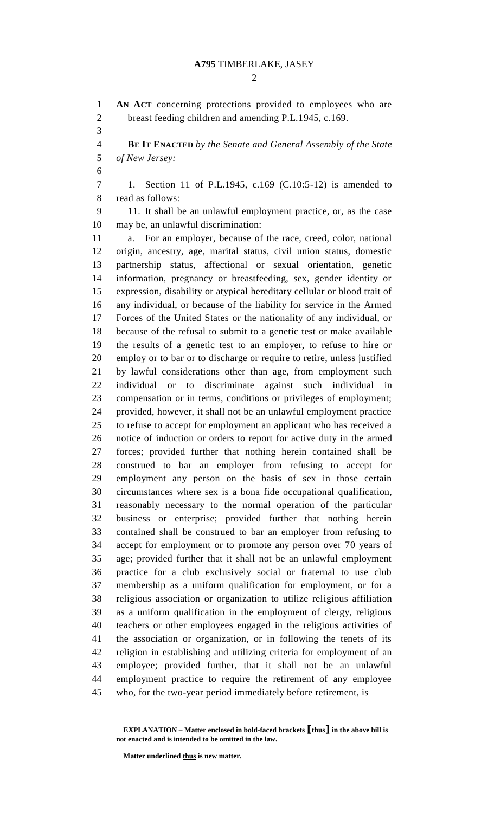$\mathcal{D}_{\mathcal{L}}$ 

 **AN ACT** concerning protections provided to employees who are breast feeding children and amending P.L.1945, c.169.

 **BE IT ENACTED** *by the Senate and General Assembly of the State of New Jersey:*

 1. Section 11 of P.L.1945, c.169 (C.10:5-12) is amended to read as follows:

 11. It shall be an unlawful employment practice, or, as the case may be, an unlawful discrimination:

 a. For an employer, because of the race, creed, color, national origin, ancestry, age, marital status, civil union status, domestic partnership status, affectional or sexual orientation, genetic information, pregnancy or breastfeeding, sex, gender identity or expression, disability or atypical hereditary cellular or blood trait of any individual, or because of the liability for service in the Armed Forces of the United States or the nationality of any individual, or because of the refusal to submit to a genetic test or make available the results of a genetic test to an employer, to refuse to hire or employ or to bar or to discharge or require to retire, unless justified by lawful considerations other than age, from employment such individual or to discriminate against such individual in compensation or in terms, conditions or privileges of employment; provided, however, it shall not be an unlawful employment practice to refuse to accept for employment an applicant who has received a notice of induction or orders to report for active duty in the armed forces; provided further that nothing herein contained shall be construed to bar an employer from refusing to accept for employment any person on the basis of sex in those certain circumstances where sex is a bona fide occupational qualification, reasonably necessary to the normal operation of the particular business or enterprise; provided further that nothing herein contained shall be construed to bar an employer from refusing to accept for employment or to promote any person over 70 years of age; provided further that it shall not be an unlawful employment practice for a club exclusively social or fraternal to use club membership as a uniform qualification for employment, or for a religious association or organization to utilize religious affiliation as a uniform qualification in the employment of clergy, religious teachers or other employees engaged in the religious activities of the association or organization, or in following the tenets of its religion in establishing and utilizing criteria for employment of an employee; provided further, that it shall not be an unlawful employment practice to require the retirement of any employee who, for the two-year period immediately before retirement, is

**Matter underlined thus is new matter.**

**EXPLANATION – Matter enclosed in bold-faced brackets [thus] in the above bill is not enacted and is intended to be omitted in the law.**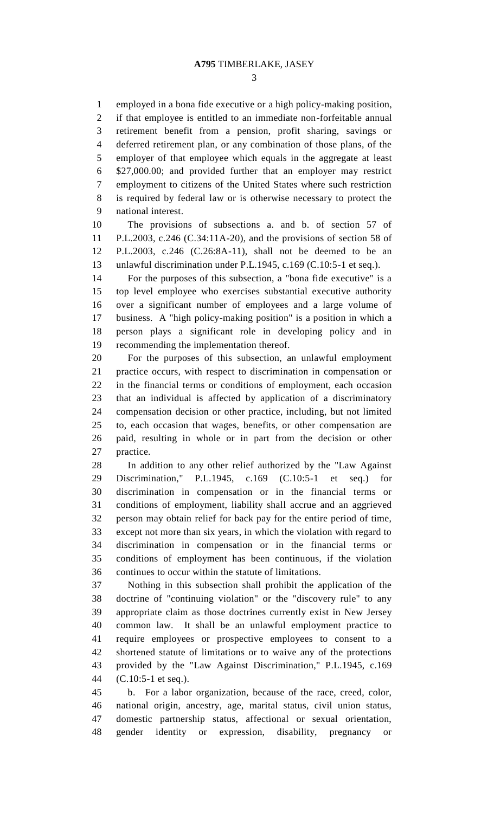employed in a bona fide executive or a high policy-making position, if that employee is entitled to an immediate non-forfeitable annual retirement benefit from a pension, profit sharing, savings or deferred retirement plan, or any combination of those plans, of the employer of that employee which equals in the aggregate at least \$27,000.00; and provided further that an employer may restrict employment to citizens of the United States where such restriction is required by federal law or is otherwise necessary to protect the national interest.

 The provisions of subsections a. and b. of section 57 of P.L.2003, c.246 (C.34:11A-20), and the provisions of section 58 of P.L.2003, c.246 (C.26:8A-11), shall not be deemed to be an unlawful discrimination under P.L.1945, c.169 (C.10:5-1 et seq.).

 For the purposes of this subsection, a "bona fide executive" is a top level employee who exercises substantial executive authority over a significant number of employees and a large volume of business. A "high policy-making position" is a position in which a person plays a significant role in developing policy and in recommending the implementation thereof.

 For the purposes of this subsection, an unlawful employment practice occurs, with respect to discrimination in compensation or in the financial terms or conditions of employment, each occasion that an individual is affected by application of a discriminatory compensation decision or other practice, including, but not limited to, each occasion that wages, benefits, or other compensation are paid, resulting in whole or in part from the decision or other practice.

 In addition to any other relief authorized by the "Law Against Discrimination," P.L.1945, c.169 (C.10:5-1 et seq.) for discrimination in compensation or in the financial terms or conditions of employment, liability shall accrue and an aggrieved person may obtain relief for back pay for the entire period of time, except not more than six years, in which the violation with regard to discrimination in compensation or in the financial terms or conditions of employment has been continuous, if the violation continues to occur within the statute of limitations.

 Nothing in this subsection shall prohibit the application of the doctrine of "continuing violation" or the "discovery rule" to any appropriate claim as those doctrines currently exist in New Jersey common law. It shall be an unlawful employment practice to require employees or prospective employees to consent to a shortened statute of limitations or to waive any of the protections provided by the "Law Against Discrimination," P.L.1945, c.169 (C.10:5-1 et seq.).

 b. For a labor organization, because of the race, creed, color, national origin, ancestry, age, marital status, civil union status, domestic partnership status, affectional or sexual orientation, gender identity or expression, disability, pregnancy or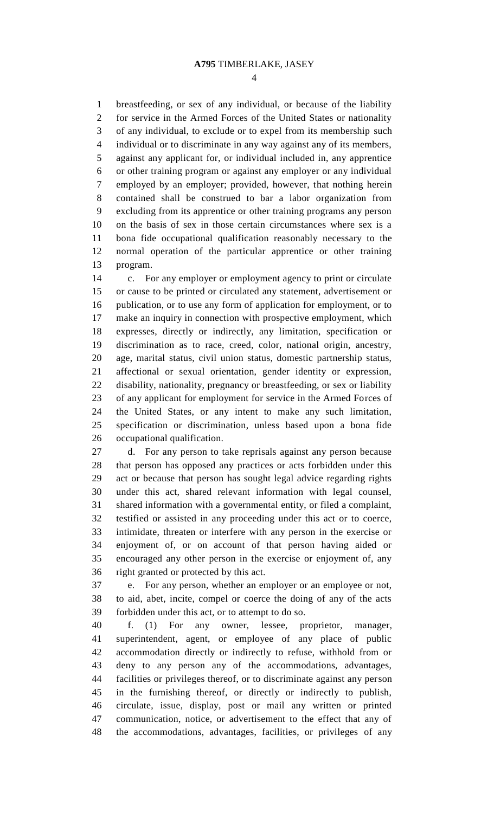breastfeeding, or sex of any individual, or because of the liability for service in the Armed Forces of the United States or nationality of any individual, to exclude or to expel from its membership such individual or to discriminate in any way against any of its members, against any applicant for, or individual included in, any apprentice or other training program or against any employer or any individual employed by an employer; provided, however, that nothing herein contained shall be construed to bar a labor organization from excluding from its apprentice or other training programs any person on the basis of sex in those certain circumstances where sex is a bona fide occupational qualification reasonably necessary to the normal operation of the particular apprentice or other training program.

 c. For any employer or employment agency to print or circulate or cause to be printed or circulated any statement, advertisement or publication, or to use any form of application for employment, or to make an inquiry in connection with prospective employment, which expresses, directly or indirectly, any limitation, specification or discrimination as to race, creed, color, national origin, ancestry, age, marital status, civil union status, domestic partnership status, affectional or sexual orientation, gender identity or expression, disability, nationality, pregnancy or breastfeeding, or sex or liability of any applicant for employment for service in the Armed Forces of the United States, or any intent to make any such limitation, specification or discrimination, unless based upon a bona fide occupational qualification.

 d. For any person to take reprisals against any person because that person has opposed any practices or acts forbidden under this act or because that person has sought legal advice regarding rights under this act, shared relevant information with legal counsel, shared information with a governmental entity, or filed a complaint, testified or assisted in any proceeding under this act or to coerce, intimidate, threaten or interfere with any person in the exercise or enjoyment of, or on account of that person having aided or encouraged any other person in the exercise or enjoyment of, any right granted or protected by this act.

 e. For any person, whether an employer or an employee or not, to aid, abet, incite, compel or coerce the doing of any of the acts forbidden under this act, or to attempt to do so.

 f. (1) For any owner, lessee, proprietor, manager, superintendent, agent, or employee of any place of public accommodation directly or indirectly to refuse, withhold from or deny to any person any of the accommodations, advantages, facilities or privileges thereof, or to discriminate against any person in the furnishing thereof, or directly or indirectly to publish, circulate, issue, display, post or mail any written or printed communication, notice, or advertisement to the effect that any of the accommodations, advantages, facilities, or privileges of any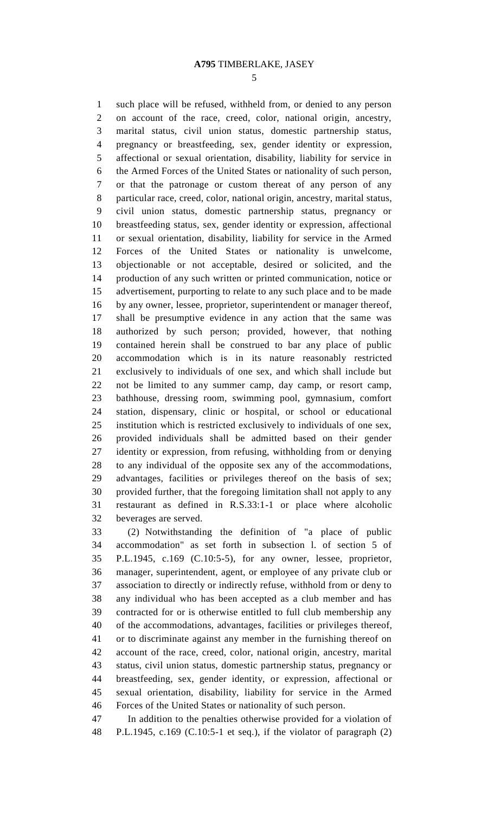such place will be refused, withheld from, or denied to any person on account of the race, creed, color, national origin, ancestry, marital status, civil union status, domestic partnership status, pregnancy or breastfeeding, sex, gender identity or expression, affectional or sexual orientation, disability, liability for service in the Armed Forces of the United States or nationality of such person, or that the patronage or custom thereat of any person of any particular race, creed, color, national origin, ancestry, marital status, civil union status, domestic partnership status, pregnancy or breastfeeding status, sex, gender identity or expression, affectional or sexual orientation, disability, liability for service in the Armed Forces of the United States or nationality is unwelcome, objectionable or not acceptable, desired or solicited, and the production of any such written or printed communication, notice or advertisement, purporting to relate to any such place and to be made by any owner, lessee, proprietor, superintendent or manager thereof, shall be presumptive evidence in any action that the same was authorized by such person; provided, however, that nothing contained herein shall be construed to bar any place of public accommodation which is in its nature reasonably restricted exclusively to individuals of one sex, and which shall include but not be limited to any summer camp, day camp, or resort camp, bathhouse, dressing room, swimming pool, gymnasium, comfort station, dispensary, clinic or hospital, or school or educational institution which is restricted exclusively to individuals of one sex, provided individuals shall be admitted based on their gender identity or expression, from refusing, withholding from or denying to any individual of the opposite sex any of the accommodations, advantages, facilities or privileges thereof on the basis of sex; provided further, that the foregoing limitation shall not apply to any restaurant as defined in R.S.33:1-1 or place where alcoholic beverages are served.

 (2) Notwithstanding the definition of "a place of public accommodation" as set forth in subsection l. of section 5 of P.L.1945, c.169 (C.10:5-5), for any owner, lessee, proprietor, manager, superintendent, agent, or employee of any private club or association to directly or indirectly refuse, withhold from or deny to any individual who has been accepted as a club member and has contracted for or is otherwise entitled to full club membership any of the accommodations, advantages, facilities or privileges thereof, or to discriminate against any member in the furnishing thereof on account of the race, creed, color, national origin, ancestry, marital status, civil union status, domestic partnership status, pregnancy or breastfeeding, sex, gender identity, or expression, affectional or sexual orientation, disability, liability for service in the Armed Forces of the United States or nationality of such person.

 In addition to the penalties otherwise provided for a violation of P.L.1945, c.169 (C.10:5-1 et seq.), if the violator of paragraph (2)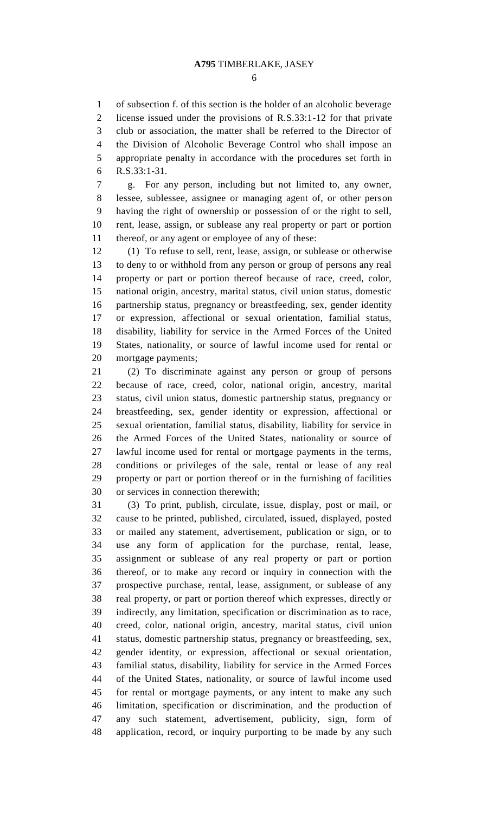of subsection f. of this section is the holder of an alcoholic beverage license issued under the provisions of R.S.33:1-12 for that private club or association, the matter shall be referred to the Director of the Division of Alcoholic Beverage Control who shall impose an appropriate penalty in accordance with the procedures set forth in R.S.33:1-31.

 g. For any person, including but not limited to, any owner, lessee, sublessee, assignee or managing agent of, or other person having the right of ownership or possession of or the right to sell, rent, lease, assign, or sublease any real property or part or portion thereof, or any agent or employee of any of these:

 (1) To refuse to sell, rent, lease, assign, or sublease or otherwise to deny to or withhold from any person or group of persons any real property or part or portion thereof because of race, creed, color, national origin, ancestry, marital status, civil union status, domestic partnership status, pregnancy or breastfeeding, sex, gender identity or expression, affectional or sexual orientation, familial status, disability, liability for service in the Armed Forces of the United States, nationality, or source of lawful income used for rental or mortgage payments;

 (2) To discriminate against any person or group of persons because of race, creed, color, national origin, ancestry, marital status, civil union status, domestic partnership status, pregnancy or breastfeeding, sex, gender identity or expression, affectional or sexual orientation, familial status, disability, liability for service in the Armed Forces of the United States, nationality or source of lawful income used for rental or mortgage payments in the terms, conditions or privileges of the sale, rental or lease of any real property or part or portion thereof or in the furnishing of facilities or services in connection therewith;

 (3) To print, publish, circulate, issue, display, post or mail, or cause to be printed, published, circulated, issued, displayed, posted or mailed any statement, advertisement, publication or sign, or to use any form of application for the purchase, rental, lease, assignment or sublease of any real property or part or portion thereof, or to make any record or inquiry in connection with the prospective purchase, rental, lease, assignment, or sublease of any real property, or part or portion thereof which expresses, directly or indirectly, any limitation, specification or discrimination as to race, creed, color, national origin, ancestry, marital status, civil union status, domestic partnership status, pregnancy or breastfeeding, sex, gender identity, or expression, affectional or sexual orientation, familial status, disability, liability for service in the Armed Forces of the United States, nationality, or source of lawful income used for rental or mortgage payments, or any intent to make any such limitation, specification or discrimination, and the production of any such statement, advertisement, publicity, sign, form of application, record, or inquiry purporting to be made by any such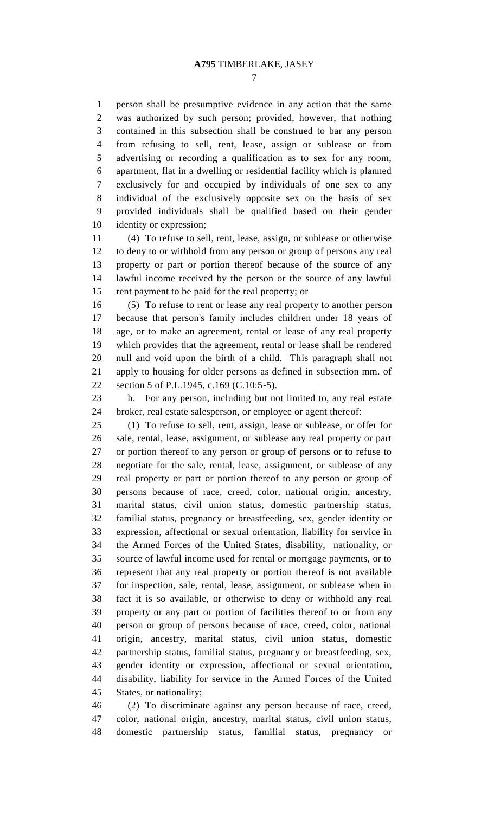person shall be presumptive evidence in any action that the same was authorized by such person; provided, however, that nothing contained in this subsection shall be construed to bar any person from refusing to sell, rent, lease, assign or sublease or from advertising or recording a qualification as to sex for any room, apartment, flat in a dwelling or residential facility which is planned exclusively for and occupied by individuals of one sex to any individual of the exclusively opposite sex on the basis of sex provided individuals shall be qualified based on their gender identity or expression;

 (4) To refuse to sell, rent, lease, assign, or sublease or otherwise to deny to or withhold from any person or group of persons any real property or part or portion thereof because of the source of any lawful income received by the person or the source of any lawful rent payment to be paid for the real property; or

 (5) To refuse to rent or lease any real property to another person because that person's family includes children under 18 years of age, or to make an agreement, rental or lease of any real property which provides that the agreement, rental or lease shall be rendered null and void upon the birth of a child. This paragraph shall not apply to housing for older persons as defined in subsection mm. of section 5 of P.L.1945, c.169 (C.10:5-5).

 h. For any person, including but not limited to, any real estate broker, real estate salesperson, or employee or agent thereof:

 (1) To refuse to sell, rent, assign, lease or sublease, or offer for sale, rental, lease, assignment, or sublease any real property or part or portion thereof to any person or group of persons or to refuse to negotiate for the sale, rental, lease, assignment, or sublease of any real property or part or portion thereof to any person or group of persons because of race, creed, color, national origin, ancestry, marital status, civil union status, domestic partnership status, familial status, pregnancy or breastfeeding, sex, gender identity or expression, affectional or sexual orientation, liability for service in the Armed Forces of the United States, disability, nationality, or source of lawful income used for rental or mortgage payments, or to represent that any real property or portion thereof is not available for inspection, sale, rental, lease, assignment, or sublease when in fact it is so available, or otherwise to deny or withhold any real property or any part or portion of facilities thereof to or from any person or group of persons because of race, creed, color, national origin, ancestry, marital status, civil union status, domestic partnership status, familial status, pregnancy or breastfeeding, sex, gender identity or expression, affectional or sexual orientation, disability, liability for service in the Armed Forces of the United States, or nationality;

 (2) To discriminate against any person because of race, creed, color, national origin, ancestry, marital status, civil union status, domestic partnership status, familial status, pregnancy or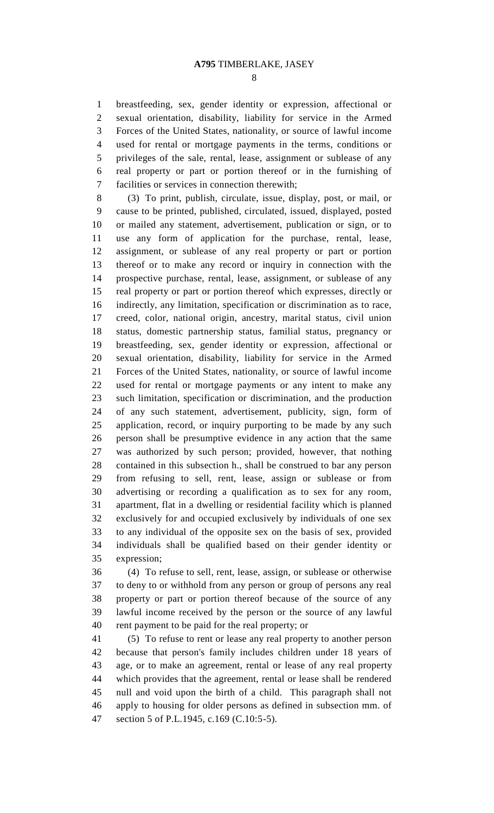breastfeeding, sex, gender identity or expression, affectional or sexual orientation, disability, liability for service in the Armed Forces of the United States, nationality, or source of lawful income used for rental or mortgage payments in the terms, conditions or privileges of the sale, rental, lease, assignment or sublease of any real property or part or portion thereof or in the furnishing of facilities or services in connection therewith;

 (3) To print, publish, circulate, issue, display, post, or mail, or cause to be printed, published, circulated, issued, displayed, posted or mailed any statement, advertisement, publication or sign, or to use any form of application for the purchase, rental, lease, assignment, or sublease of any real property or part or portion thereof or to make any record or inquiry in connection with the prospective purchase, rental, lease, assignment, or sublease of any real property or part or portion thereof which expresses, directly or indirectly, any limitation, specification or discrimination as to race, creed, color, national origin, ancestry, marital status, civil union status, domestic partnership status, familial status, pregnancy or breastfeeding, sex, gender identity or expression, affectional or sexual orientation, disability, liability for service in the Armed Forces of the United States, nationality, or source of lawful income used for rental or mortgage payments or any intent to make any such limitation, specification or discrimination, and the production of any such statement, advertisement, publicity, sign, form of application, record, or inquiry purporting to be made by any such person shall be presumptive evidence in any action that the same was authorized by such person; provided, however, that nothing contained in this subsection h., shall be construed to bar any person from refusing to sell, rent, lease, assign or sublease or from advertising or recording a qualification as to sex for any room, apartment, flat in a dwelling or residential facility which is planned exclusively for and occupied exclusively by individuals of one sex to any individual of the opposite sex on the basis of sex, provided individuals shall be qualified based on their gender identity or expression;

 (4) To refuse to sell, rent, lease, assign, or sublease or otherwise to deny to or withhold from any person or group of persons any real property or part or portion thereof because of the source of any lawful income received by the person or the source of any lawful rent payment to be paid for the real property; or

 (5) To refuse to rent or lease any real property to another person because that person's family includes children under 18 years of age, or to make an agreement, rental or lease of any real property which provides that the agreement, rental or lease shall be rendered null and void upon the birth of a child. This paragraph shall not apply to housing for older persons as defined in subsection mm. of section 5 of P.L.1945, c.169 (C.10:5-5).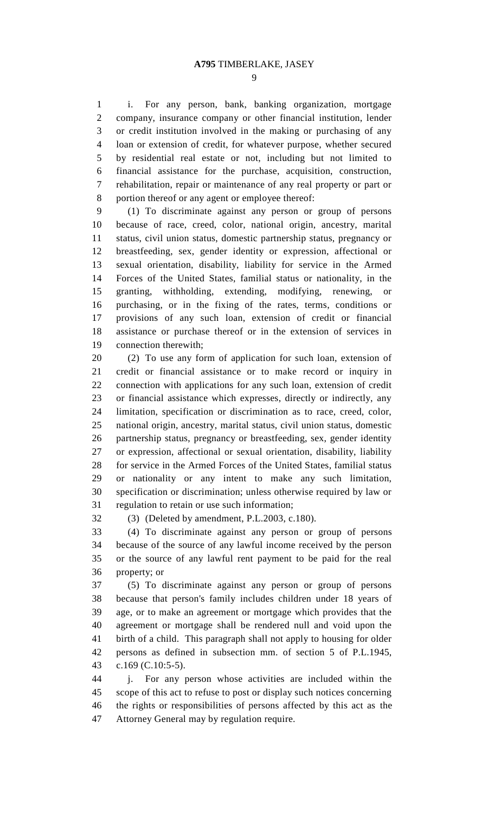i. For any person, bank, banking organization, mortgage company, insurance company or other financial institution, lender or credit institution involved in the making or purchasing of any loan or extension of credit, for whatever purpose, whether secured by residential real estate or not, including but not limited to financial assistance for the purchase, acquisition, construction, rehabilitation, repair or maintenance of any real property or part or portion thereof or any agent or employee thereof:

 (1) To discriminate against any person or group of persons because of race, creed, color, national origin, ancestry, marital status, civil union status, domestic partnership status, pregnancy or breastfeeding, sex, gender identity or expression, affectional or sexual orientation, disability, liability for service in the Armed Forces of the United States, familial status or nationality, in the granting, withholding, extending, modifying, renewing, or purchasing, or in the fixing of the rates, terms, conditions or provisions of any such loan, extension of credit or financial assistance or purchase thereof or in the extension of services in connection therewith;

 (2) To use any form of application for such loan, extension of credit or financial assistance or to make record or inquiry in connection with applications for any such loan, extension of credit or financial assistance which expresses, directly or indirectly, any limitation, specification or discrimination as to race, creed, color, national origin, ancestry, marital status, civil union status, domestic partnership status, pregnancy or breastfeeding, sex, gender identity or expression, affectional or sexual orientation, disability, liability for service in the Armed Forces of the United States, familial status or nationality or any intent to make any such limitation, specification or discrimination; unless otherwise required by law or regulation to retain or use such information;

(3) (Deleted by amendment, P.L.2003, c.180).

 (4) To discriminate against any person or group of persons because of the source of any lawful income received by the person or the source of any lawful rent payment to be paid for the real property; or

 (5) To discriminate against any person or group of persons because that person's family includes children under 18 years of age, or to make an agreement or mortgage which provides that the agreement or mortgage shall be rendered null and void upon the birth of a child. This paragraph shall not apply to housing for older persons as defined in subsection mm. of section 5 of P.L.1945, c.169 (C.10:5-5).

 j. For any person whose activities are included within the scope of this act to refuse to post or display such notices concerning the rights or responsibilities of persons affected by this act as the Attorney General may by regulation require.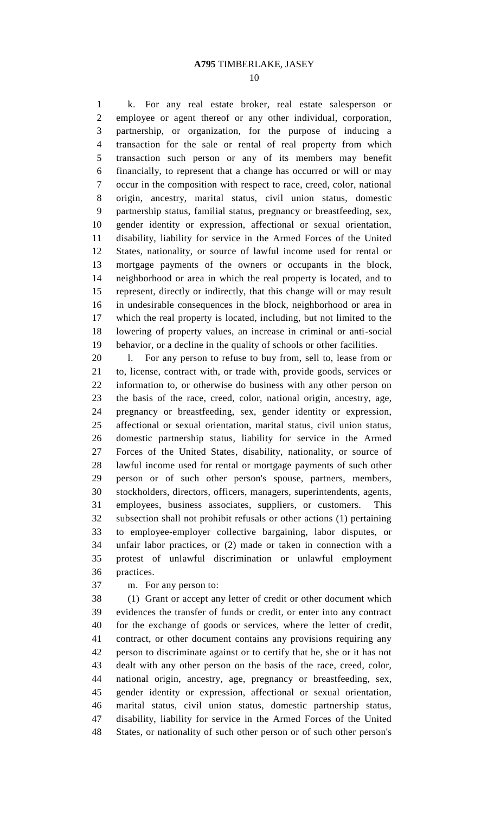k. For any real estate broker, real estate salesperson or employee or agent thereof or any other individual, corporation, partnership, or organization, for the purpose of inducing a transaction for the sale or rental of real property from which transaction such person or any of its members may benefit financially, to represent that a change has occurred or will or may occur in the composition with respect to race, creed, color, national origin, ancestry, marital status, civil union status, domestic partnership status, familial status, pregnancy or breastfeeding, sex, gender identity or expression, affectional or sexual orientation, disability, liability for service in the Armed Forces of the United States, nationality, or source of lawful income used for rental or mortgage payments of the owners or occupants in the block, neighborhood or area in which the real property is located, and to represent, directly or indirectly, that this change will or may result in undesirable consequences in the block, neighborhood or area in which the real property is located, including, but not limited to the lowering of property values, an increase in criminal or anti-social behavior, or a decline in the quality of schools or other facilities.

 l. For any person to refuse to buy from, sell to, lease from or to, license, contract with, or trade with, provide goods, services or information to, or otherwise do business with any other person on the basis of the race, creed, color, national origin, ancestry, age, pregnancy or breastfeeding, sex, gender identity or expression, affectional or sexual orientation, marital status, civil union status, domestic partnership status, liability for service in the Armed Forces of the United States, disability, nationality, or source of lawful income used for rental or mortgage payments of such other person or of such other person's spouse, partners, members, stockholders, directors, officers, managers, superintendents, agents, employees, business associates, suppliers, or customers. This subsection shall not prohibit refusals or other actions (1) pertaining to employee-employer collective bargaining, labor disputes, or unfair labor practices, or (2) made or taken in connection with a protest of unlawful discrimination or unlawful employment practices.

m. For any person to:

 (1) Grant or accept any letter of credit or other document which evidences the transfer of funds or credit, or enter into any contract for the exchange of goods or services, where the letter of credit, contract, or other document contains any provisions requiring any person to discriminate against or to certify that he, she or it has not dealt with any other person on the basis of the race, creed, color, national origin, ancestry, age, pregnancy or breastfeeding, sex, gender identity or expression, affectional or sexual orientation, marital status, civil union status, domestic partnership status, disability, liability for service in the Armed Forces of the United States, or nationality of such other person or of such other person's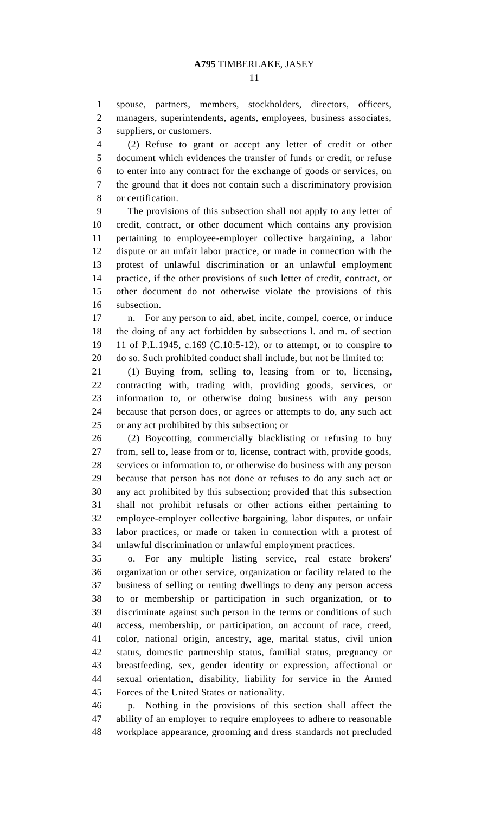spouse, partners, members, stockholders, directors, officers, managers, superintendents, agents, employees, business associates, suppliers, or customers.

 (2) Refuse to grant or accept any letter of credit or other document which evidences the transfer of funds or credit, or refuse to enter into any contract for the exchange of goods or services, on the ground that it does not contain such a discriminatory provision or certification.

 The provisions of this subsection shall not apply to any letter of credit, contract, or other document which contains any provision pertaining to employee-employer collective bargaining, a labor dispute or an unfair labor practice, or made in connection with the protest of unlawful discrimination or an unlawful employment practice, if the other provisions of such letter of credit, contract, or other document do not otherwise violate the provisions of this subsection.

 n. For any person to aid, abet, incite, compel, coerce, or induce the doing of any act forbidden by subsections l. and m. of section 11 of P.L.1945, c.169 (C.10:5-12), or to attempt, or to conspire to do so. Such prohibited conduct shall include, but not be limited to:

 (1) Buying from, selling to, leasing from or to, licensing, contracting with, trading with, providing goods, services, or information to, or otherwise doing business with any person because that person does, or agrees or attempts to do, any such act or any act prohibited by this subsection; or

 (2) Boycotting, commercially blacklisting or refusing to buy from, sell to, lease from or to, license, contract with, provide goods, services or information to, or otherwise do business with any person because that person has not done or refuses to do any such act or any act prohibited by this subsection; provided that this subsection shall not prohibit refusals or other actions either pertaining to employee-employer collective bargaining, labor disputes, or unfair labor practices, or made or taken in connection with a protest of unlawful discrimination or unlawful employment practices.

 o. For any multiple listing service, real estate brokers' organization or other service, organization or facility related to the business of selling or renting dwellings to deny any person access to or membership or participation in such organization, or to discriminate against such person in the terms or conditions of such access, membership, or participation, on account of race, creed, color, national origin, ancestry, age, marital status, civil union status, domestic partnership status, familial status, pregnancy or breastfeeding, sex, gender identity or expression, affectional or sexual orientation, disability, liability for service in the Armed Forces of the United States or nationality.

 p. Nothing in the provisions of this section shall affect the ability of an employer to require employees to adhere to reasonable workplace appearance, grooming and dress standards not precluded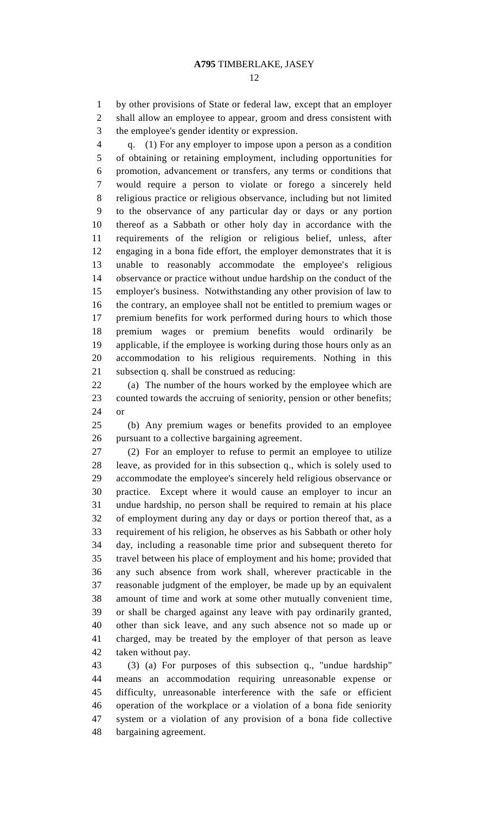by other provisions of State or federal law, except that an employer

shall allow an employee to appear, groom and dress consistent with

the employee's gender identity or expression.

 q. (1) For any employer to impose upon a person as a condition of obtaining or retaining employment, including opportunities for promotion, advancement or transfers, any terms or conditions that would require a person to violate or forego a sincerely held religious practice or religious observance, including but not limited to the observance of any particular day or days or any portion thereof as a Sabbath or other holy day in accordance with the requirements of the religion or religious belief, unless, after engaging in a bona fide effort, the employer demonstrates that it is unable to reasonably accommodate the employee's religious observance or practice without undue hardship on the conduct of the employer's business. Notwithstanding any other provision of law to the contrary, an employee shall not be entitled to premium wages or premium benefits for work performed during hours to which those premium wages or premium benefits would ordinarily be applicable, if the employee is working during those hours only as an accommodation to his religious requirements. Nothing in this subsection q. shall be construed as reducing:

 (a) The number of the hours worked by the employee which are counted towards the accruing of seniority, pension or other benefits; or

 (b) Any premium wages or benefits provided to an employee pursuant to a collective bargaining agreement.

 (2) For an employer to refuse to permit an employee to utilize leave, as provided for in this subsection q., which is solely used to accommodate the employee's sincerely held religious observance or practice. Except where it would cause an employer to incur an undue hardship, no person shall be required to remain at his place of employment during any day or days or portion thereof that, as a requirement of his religion, he observes as his Sabbath or other holy day, including a reasonable time prior and subsequent thereto for travel between his place of employment and his home; provided that any such absence from work shall, wherever practicable in the reasonable judgment of the employer, be made up by an equivalent amount of time and work at some other mutually convenient time, or shall be charged against any leave with pay ordinarily granted, other than sick leave, and any such absence not so made up or charged, may be treated by the employer of that person as leave taken without pay.

 (3) (a) For purposes of this subsection q., "undue hardship" means an accommodation requiring unreasonable expense or difficulty, unreasonable interference with the safe or efficient operation of the workplace or a violation of a bona fide seniority system or a violation of any provision of a bona fide collective bargaining agreement.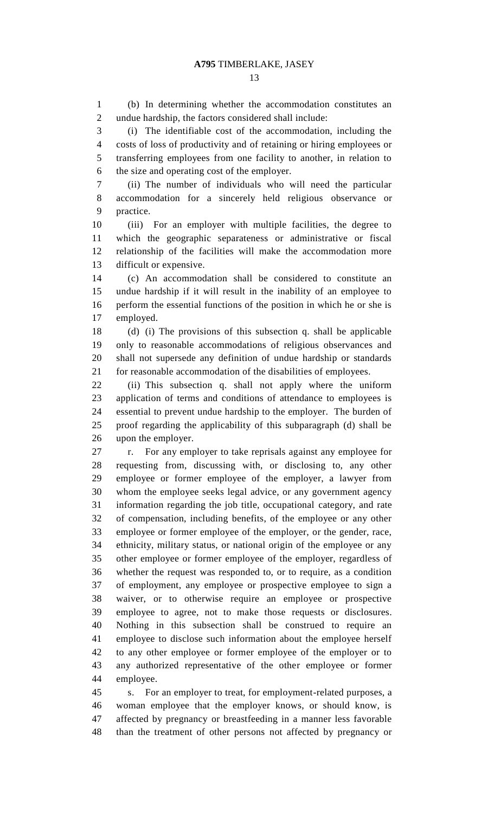(b) In determining whether the accommodation constitutes an undue hardship, the factors considered shall include:

 (i) The identifiable cost of the accommodation, including the costs of loss of productivity and of retaining or hiring employees or transferring employees from one facility to another, in relation to the size and operating cost of the employer.

 (ii) The number of individuals who will need the particular accommodation for a sincerely held religious observance or practice.

 (iii) For an employer with multiple facilities, the degree to which the geographic separateness or administrative or fiscal relationship of the facilities will make the accommodation more difficult or expensive.

 (c) An accommodation shall be considered to constitute an undue hardship if it will result in the inability of an employee to perform the essential functions of the position in which he or she is employed.

 (d) (i) The provisions of this subsection q. shall be applicable only to reasonable accommodations of religious observances and shall not supersede any definition of undue hardship or standards for reasonable accommodation of the disabilities of employees.

 (ii) This subsection q. shall not apply where the uniform application of terms and conditions of attendance to employees is essential to prevent undue hardship to the employer. The burden of proof regarding the applicability of this subparagraph (d) shall be upon the employer.

 r. For any employer to take reprisals against any employee for requesting from, discussing with, or disclosing to, any other employee or former employee of the employer, a lawyer from whom the employee seeks legal advice, or any government agency information regarding the job title, occupational category, and rate of compensation, including benefits, of the employee or any other employee or former employee of the employer, or the gender, race, ethnicity, military status, or national origin of the employee or any other employee or former employee of the employer, regardless of whether the request was responded to, or to require, as a condition of employment, any employee or prospective employee to sign a waiver, or to otherwise require an employee or prospective employee to agree, not to make those requests or disclosures. Nothing in this subsection shall be construed to require an employee to disclose such information about the employee herself to any other employee or former employee of the employer or to any authorized representative of the other employee or former employee.

 s. For an employer to treat, for employment-related purposes, a woman employee that the employer knows, or should know, is affected by pregnancy or breastfeeding in a manner less favorable than the treatment of other persons not affected by pregnancy or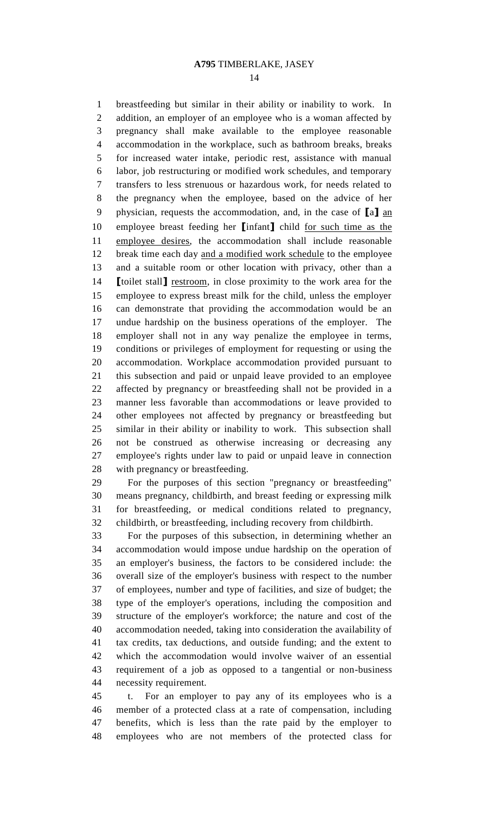breastfeeding but similar in their ability or inability to work. In addition, an employer of an employee who is a woman affected by pregnancy shall make available to the employee reasonable accommodation in the workplace, such as bathroom breaks, breaks for increased water intake, periodic rest, assistance with manual labor, job restructuring or modified work schedules, and temporary transfers to less strenuous or hazardous work, for needs related to the pregnancy when the employee, based on the advice of her physician, requests the accommodation, and, in the case of **[**a**]** an employee breast feeding her **[**infant**]** child for such time as the employee desires, the accommodation shall include reasonable break time each day and a modified work schedule to the employee and a suitable room or other location with privacy, other than a **[**toilet stall**]** restroom, in close proximity to the work area for the employee to express breast milk for the child, unless the employer can demonstrate that providing the accommodation would be an undue hardship on the business operations of the employer. The employer shall not in any way penalize the employee in terms, conditions or privileges of employment for requesting or using the accommodation. Workplace accommodation provided pursuant to this subsection and paid or unpaid leave provided to an employee affected by pregnancy or breastfeeding shall not be provided in a manner less favorable than accommodations or leave provided to other employees not affected by pregnancy or breastfeeding but similar in their ability or inability to work. This subsection shall not be construed as otherwise increasing or decreasing any employee's rights under law to paid or unpaid leave in connection with pregnancy or breastfeeding.

 For the purposes of this section "pregnancy or breastfeeding" means pregnancy, childbirth, and breast feeding or expressing milk for breastfeeding, or medical conditions related to pregnancy, childbirth, or breastfeeding, including recovery from childbirth.

 For the purposes of this subsection, in determining whether an accommodation would impose undue hardship on the operation of an employer's business, the factors to be considered include: the overall size of the employer's business with respect to the number of employees, number and type of facilities, and size of budget; the type of the employer's operations, including the composition and structure of the employer's workforce; the nature and cost of the accommodation needed, taking into consideration the availability of tax credits, tax deductions, and outside funding; and the extent to which the accommodation would involve waiver of an essential requirement of a job as opposed to a tangential or non-business necessity requirement.

 t. For an employer to pay any of its employees who is a member of a protected class at a rate of compensation, including benefits, which is less than the rate paid by the employer to employees who are not members of the protected class for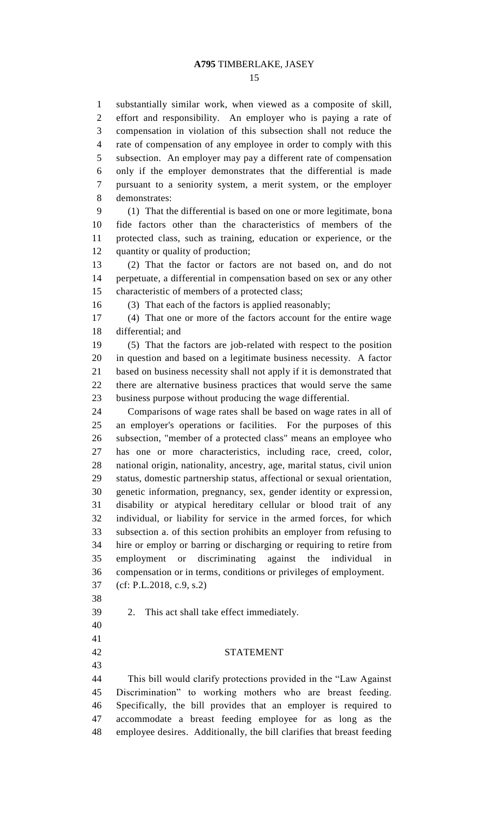substantially similar work, when viewed as a composite of skill, effort and responsibility. An employer who is paying a rate of compensation in violation of this subsection shall not reduce the rate of compensation of any employee in order to comply with this subsection. An employer may pay a different rate of compensation only if the employer demonstrates that the differential is made pursuant to a seniority system, a merit system, or the employer demonstrates:

 (1) That the differential is based on one or more legitimate, bona fide factors other than the characteristics of members of the protected class, such as training, education or experience, or the 12 quantity or quality of production;

 (2) That the factor or factors are not based on, and do not perpetuate, a differential in compensation based on sex or any other characteristic of members of a protected class;

(3) That each of the factors is applied reasonably;

 (4) That one or more of the factors account for the entire wage differential; and

 (5) That the factors are job-related with respect to the position in question and based on a legitimate business necessity. A factor based on business necessity shall not apply if it is demonstrated that there are alternative business practices that would serve the same business purpose without producing the wage differential.

 Comparisons of wage rates shall be based on wage rates in all of an employer's operations or facilities. For the purposes of this subsection, "member of a protected class" means an employee who has one or more characteristics, including race, creed, color, national origin, nationality, ancestry, age, marital status, civil union status, domestic partnership status, affectional or sexual orientation, genetic information, pregnancy, sex, gender identity or expression, disability or atypical hereditary cellular or blood trait of any individual, or liability for service in the armed forces, for which subsection a. of this section prohibits an employer from refusing to hire or employ or barring or discharging or requiring to retire from employment or discriminating against the individual in compensation or in terms, conditions or privileges of employment. (cf: P.L.2018, c.9, s.2)

- 
- 2. This act shall take effect immediately.
- 
- 
- 

### STATEMENT

 This bill would clarify protections provided in the "Law Against Discrimination" to working mothers who are breast feeding. Specifically, the bill provides that an employer is required to accommodate a breast feeding employee for as long as the employee desires. Additionally, the bill clarifies that breast feeding